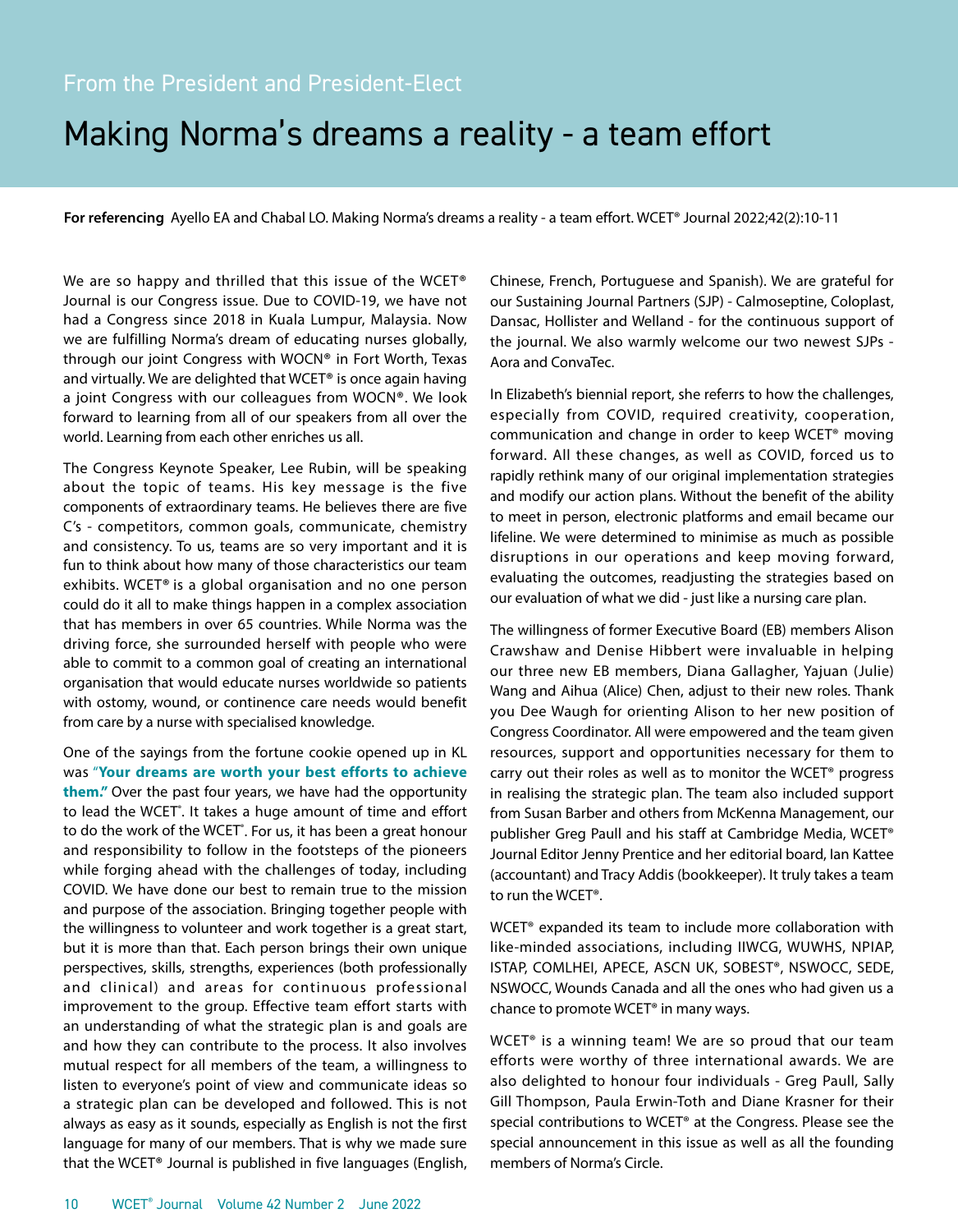## Making Norma's dreams a reality - a team effort

**For referencing** Ayello EA and Chabal LO. Making Norma's dreams a reality - a team effort. WCET® Journal 2022;42(2):10-11

We are so happy and thrilled that this issue of the WCET® Journal is our Congress issue. Due to COVID-19, we have not had a Congress since 2018 in Kuala Lumpur, Malaysia. Now we are fulfilling Norma's dream of educating nurses globally, through our joint Congress with WOCN® in Fort Worth, Texas and virtually. We are delighted that WCET<sup>®</sup> is once again having a joint Congress with our colleagues from WOCN®. We look forward to learning from all of our speakers from all over the world. Learning from each other enriches us all.

The Congress Keynote Speaker, Lee Rubin, will be speaking about the topic of teams. His key message is the five components of extraordinary teams. He believes there are five C's - competitors, common goals, communicate, chemistry and consistency. To us, teams are so very important and it is fun to think about how many of those characteristics our team exhibits. WCET® is a global organisation and no one person could do it all to make things happen in a complex association that has members in over 65 countries. While Norma was the driving force, she surrounded herself with people who were able to commit to a common goal of creating an international organisation that would educate nurses worldwide so patients with ostomy, wound, or continence care needs would benefit from care by a nurse with specialised knowledge.

One of the sayings from the fortune cookie opened up in KL was "**Your dreams are worth your best efforts to achieve them."** Over the past four years, we have had the opportunity to lead the WCET<sup>®</sup>. It takes a huge amount of time and effort to do the work of the WCET<sup>®</sup>. For us, it has been a great honour and responsibility to follow in the footsteps of the pioneers while forging ahead with the challenges of today, including COVID. We have done our best to remain true to the mission and purpose of the association. Bringing together people with the willingness to volunteer and work together is a great start, but it is more than that. Each person brings their own unique perspectives, skills, strengths, experiences (both professionally and clinical) and areas for continuous professional improvement to the group. Effective team effort starts with an understanding of what the strategic plan is and goals are and how they can contribute to the process. It also involves mutual respect for all members of the team, a willingness to listen to everyone's point of view and communicate ideas so a strategic plan can be developed and followed. This is not always as easy as it sounds, especially as English is not the first language for many of our members. That is why we made sure that the WCET® Journal is published in five languages (English,

Chinese, French, Portuguese and Spanish). We are grateful for our Sustaining Journal Partners (SJP) - Calmoseptine, Coloplast, Dansac, Hollister and Welland - for the continuous support of the journal. We also warmly welcome our two newest SJPs - Aora and ConvaTec.

In Elizabeth's biennial report, she referrs to how the challenges, especially from COVID, required creativity, cooperation, communication and change in order to keep WCET® moving forward. All these changes, as well as COVID, forced us to rapidly rethink many of our original implementation strategies and modify our action plans. Without the benefit of the ability to meet in person, electronic platforms and email became our lifeline. We were determined to minimise as much as possible disruptions in our operations and keep moving forward, evaluating the outcomes, readjusting the strategies based on our evaluation of what we did - just like a nursing care plan.

The willingness of former Executive Board (EB) members Alison Crawshaw and Denise Hibbert were invaluable in helping our three new EB members, Diana Gallagher, Yajuan (Julie) Wang and Aihua (Alice) Chen, adjust to their new roles. Thank you Dee Waugh for orienting Alison to her new position of Congress Coordinator. All were empowered and the team given resources, support and opportunities necessary for them to carry out their roles as well as to monitor the WCET® progress in realising the strategic plan. The team also included support from Susan Barber and others from McKenna Management, our publisher Greg Paull and his staff at Cambridge Media, WCET® Journal Editor Jenny Prentice and her editorial board, Ian Kattee (accountant) and Tracy Addis (bookkeeper). It truly takes a team to run the WCET®.

WCET® expanded its team to include more collaboration with like-minded associations, including IIWCG, WUWHS, NPIAP, ISTAP, COMLHEI, APECE, ASCN UK, SOBEST®, NSWOCC, SEDE, NSWOCC, Wounds Canada and all the ones who had given us a chance to promote WCET® in many ways.

WCET® is a winning team! We are so proud that our team efforts were worthy of three international awards. We are also delighted to honour four individuals - Greg Paull, Sally Gill Thompson, Paula Erwin-Toth and Diane Krasner for their special contributions to WCET® at the Congress. Please see the special announcement in this issue as well as all the founding members of Norma's Circle.